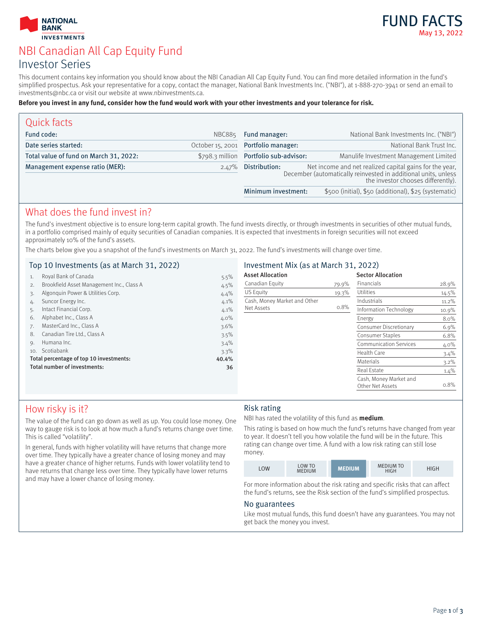



# NBI Canadian All Cap Equity Fund Investor Series

This document contains key information you should know about the NBI Canadian All Cap Equity Fund. You can find more detailed information in the fund's simplified prospectus. Ask your representative for a copy, contact the manager, National Bank Investments Inc. ("NBI"), at 1-888-270-3941 or send an email to investments@nbc.ca or visit our website at www.nbinvestments.ca.

#### **Before you invest in any fund, consider how the fund would work with your other investments and your tolerance for risk.**

| Quick facts                            |        |                                                                                                                                                                                        |                                                       |
|----------------------------------------|--------|----------------------------------------------------------------------------------------------------------------------------------------------------------------------------------------|-------------------------------------------------------|
| Fund code:                             | NBC885 | Fund manager:                                                                                                                                                                          | National Bank Investments Inc. ("NBI")                |
| Date series started:                   |        | October 15, 2001 Portfolio manager:                                                                                                                                                    | National Bank Trust Inc.                              |
| Total value of fund on March 31, 2022: |        | \$798.3 million Portfolio sub-advisor:                                                                                                                                                 | Manulife Investment Management Limited                |
| Management expense ratio (MER):        |        | Net income and net realized capital gains for the year,<br>December (automatically reinvested in additional units, unless<br>2.47% Distribution:<br>the investor chooses differently). |                                                       |
|                                        |        | Minimum investment:                                                                                                                                                                    | \$500 (initial), \$50 (additional), \$25 (systematic) |

### What does the fund invest in?

The fund's investment objective is to ensure long-term capital growth. The fund invests directly, or through investments in securities of other mutual funds, in a portfolio comprised mainly of equity securities of Canadian companies. It is expected that investments in foreign securities will not exceed approximately 10% of the fund's assets.

The charts below give you a snapshot of the fund's investments on March 31, 2022. The fund's investments will change over time.

#### Top 10 Investments (as at March 31, 2022)

| 1.                                      | Royal Bank of Canada                      | 5.5% |
|-----------------------------------------|-------------------------------------------|------|
| 2.                                      | Brookfield Asset Management Inc., Class A | 4.5% |
| 3.                                      | Algonquin Power & Utilities Corp.         | 4.4% |
| 4.                                      | Suncor Energy Inc.                        | 4.1% |
| 5.                                      | Intact Financial Corp.                    | 4.1% |
| 6.                                      | Alphabet Inc., Class A                    | 4.0% |
| 7.                                      | MasterCard Inc., Class A                  | 3.6% |
| 8.                                      | Canadian Tire Ltd., Class A               | 3.5% |
| 9.                                      | Humana Inc.                               | 3.4% |
| 10.                                     | Scotiabank                                | 3.3% |
| Total percentage of top 10 investments: | 40.4%                                     |      |
|                                         | Total number of investments:              | 36   |
|                                         |                                           |      |

### Investment Mix (as at March 31, 2022)

| <b>Asset Allocation</b>      |       | <b>Sector Allocation</b>                   |          |
|------------------------------|-------|--------------------------------------------|----------|
| Canadian Equity              | 79.9% | Financials                                 | 28.9%    |
| US Equity                    | 19.3% | Utilities                                  | $14.5\%$ |
| Cash, Money Market and Other |       | Industrials                                | 11.2%    |
| Net Assets                   | 0.8%  | Information Technology                     | 10.9%    |
|                              |       | Energy                                     | 8.0%     |
|                              |       | Consumer Discretionary                     | 6.9%     |
|                              |       | Consumer Staples                           | 6.8%     |
|                              |       | <b>Communication Services</b>              | $4.0\%$  |
|                              |       | Health Care                                | 3.4%     |
|                              |       | Materials                                  | $3.2\%$  |
|                              |       | <b>Real Estate</b>                         | 1.4%     |
|                              |       | Cash, Money Market and<br>Other Net Assets | 0.8%     |

## How risky is it?

The value of the fund can go down as well as up. You could lose money. One way to gauge risk is to look at how much a fund's returns change over time. This is called "volatility".

In general, funds with higher volatility will have returns that change more over time. They typically have a greater chance of losing money and may have a greater chance of higher returns. Funds with lower volatility tend to have returns that change less over time. They typically have lower returns and may have a lower chance of losing money.

#### Risk rating

NBI has rated the volatility of this fund as **medium**.

This rating is based on how much the fund's returns have changed from year to year. It doesn't tell you how volatile the fund will be in the future. This rating can change over time. A fund with a low risk rating can still lose money.

|  | OW | LOW TO<br><b>MEDIUM</b> | <b>AEDIUM</b> | <b>MEDIUM TO</b><br>HIGH | HIGH |
|--|----|-------------------------|---------------|--------------------------|------|
|--|----|-------------------------|---------------|--------------------------|------|

For more information about the risk rating and specific risks that can affect the fund's returns, see the Risk section of the fund's simplified prospectus.

#### No guarantees

Like most mutual funds, this fund doesn't have any guarantees. You may not get back the money you invest.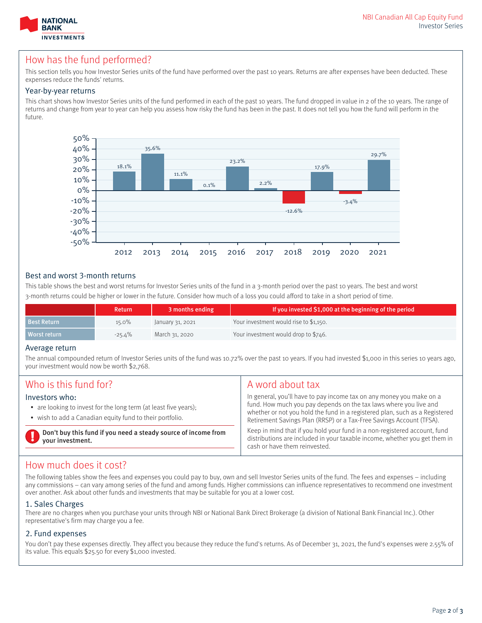

## How has the fund performed?

This section tells you how Investor Series units of the fund have performed over the past 10 years. Returns are after expenses have been deducted. These expenses reduce the funds' returns.

#### Year-by-year returns

This chart shows how Investor Series units of the fund performed in each of the past 10 years. The fund dropped in value in 2 of the 10 years. The range of returns and change from year to year can help you assess how risky the fund has been in the past. It does not tell you how the fund will perform in the future.



#### Best and worst 3-month returns

This table shows the best and worst returns for Investor Series units of the fund in a 3-month period over the past 10 years. The best and worst 3-month returns could be higher or lower in the future. Consider how much of a loss you could afford to take in a short period of time.

|                    | <b>Return</b> | 3 months ending  | If you invested \$1,000 at the beginning of the period |
|--------------------|---------------|------------------|--------------------------------------------------------|
| <b>Best Return</b> | $15.0\%$      | January 31, 2021 | Your investment would rise to \$1,150.                 |
| Worst return       | -25.4%        | March 31, 2020   | Your investment would drop to \$746.                   |

#### Average return

The annual compounded return of Investor Series units of the fund was 10.72% over the past 10 years. If you had invested \$1,000 in this series 10 years ago, your investment would now be worth \$2,768.

| Who is this fund for?                                                                                                                          | A word about tax                                                                                                                                                                                                                                                                                 |
|------------------------------------------------------------------------------------------------------------------------------------------------|--------------------------------------------------------------------------------------------------------------------------------------------------------------------------------------------------------------------------------------------------------------------------------------------------|
| Investors who:<br>• are looking to invest for the long term (at least five years);<br>• wish to add a Canadian equity fund to their portfolio. | In general, you'll have to pay income tax on any money you make on a<br>fund. How much you pay depends on the tax laws where you live and<br>whether or not you hold the fund in a registered plan, such as a Registered<br>Retirement Savings Plan (RRSP) or a Tax-Free Savings Account (TFSA). |
| Don't buy this fund if you need a steady source of income from<br>your investment.                                                             | Keep in mind that if you hold your fund in a non-registered account, fund<br>distributions are included in your taxable income, whether you get them in<br>cash or have them reinvested.                                                                                                         |

### How much does it cost?

The following tables show the fees and expenses you could pay to buy, own and sell Investor Series units of the fund. The fees and expenses – including any commissions – can vary among series of the fund and among funds. Higher commissions can influence representatives to recommend one investment over another. Ask about other funds and investments that may be suitable for you at a lower cost.

#### 1. Sales Charges

There are no charges when you purchase your units through NBI or National Bank Direct Brokerage (a division of National Bank Financial Inc.). Other representative's firm may charge you a fee.

#### 2. Fund expenses

You don't pay these expenses directly. They affect you because they reduce the fund's returns. As of December 31, 2021, the fund's expenses were 2.55% of its value. This equals \$25.50 for every \$1,000 invested.